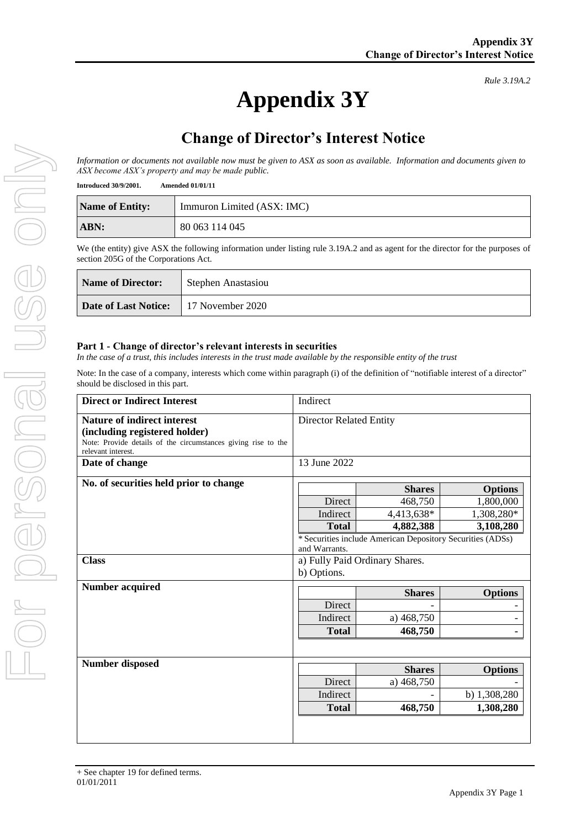*Rule 3.19A.2*

# **Appendix 3Y**

# **Change of Director's Interest Notice**

*Information or documents not available now must be given to ASX as soon as available. Information and documents given to ASX become ASX's property and may be made public.*

**Introduced 30/9/2001. Amended 01/01/11**

| <b>Name of Entity:</b> | Immuron Limited (ASX: IMC) |
|------------------------|----------------------------|
| ABN:                   | 80 063 114 045             |

We (the entity) give ASX the following information under listing rule 3.19A.2 and as agent for the director for the purposes of section 205G of the Corporations Act.

| Name of Director:                            | Stephen Anastasiou |
|----------------------------------------------|--------------------|
| <b>Date of Last Notice:</b> 17 November 2020 |                    |

#### **Part 1 - Change of director's relevant interests in securities**

*In the case of a trust, this includes interests in the trust made available by the responsible entity of the trust*

Note: In the case of a company, interests which come within paragraph (i) of the definition of "notifiable interest of a director" should be disclosed in this part.

| <b>Direct or Indirect Interest</b>                                                                                                                  | Indirect                                            |                                                                                                                   |                                                        |
|-----------------------------------------------------------------------------------------------------------------------------------------------------|-----------------------------------------------------|-------------------------------------------------------------------------------------------------------------------|--------------------------------------------------------|
| Nature of indirect interest<br>(including registered holder)<br>Note: Provide details of the circumstances giving rise to the<br>relevant interest. | <b>Director Related Entity</b>                      |                                                                                                                   |                                                        |
| Date of change                                                                                                                                      | 13 June 2022                                        |                                                                                                                   |                                                        |
| No. of securities held prior to change                                                                                                              | Direct<br>Indirect<br><b>Total</b><br>and Warrants. | <b>Shares</b><br>468,750<br>4,413,638*<br>4,882,388<br>* Securities include American Depository Securities (ADSs) | <b>Options</b><br>1,800,000<br>1,308,280*<br>3,108,280 |
| <b>Class</b>                                                                                                                                        | a) Fully Paid Ordinary Shares.<br>b) Options.       |                                                                                                                   |                                                        |
| <b>Number acquired</b>                                                                                                                              | Direct<br>Indirect<br><b>Total</b>                  | <b>Shares</b><br>a) 468,750<br>468,750                                                                            | <b>Options</b>                                         |
| Number disposed                                                                                                                                     | Direct<br>Indirect<br><b>Total</b>                  | <b>Shares</b><br>a) 468,750<br>468,750                                                                            | <b>Options</b><br>b) 1,308,280<br>1,308,280            |